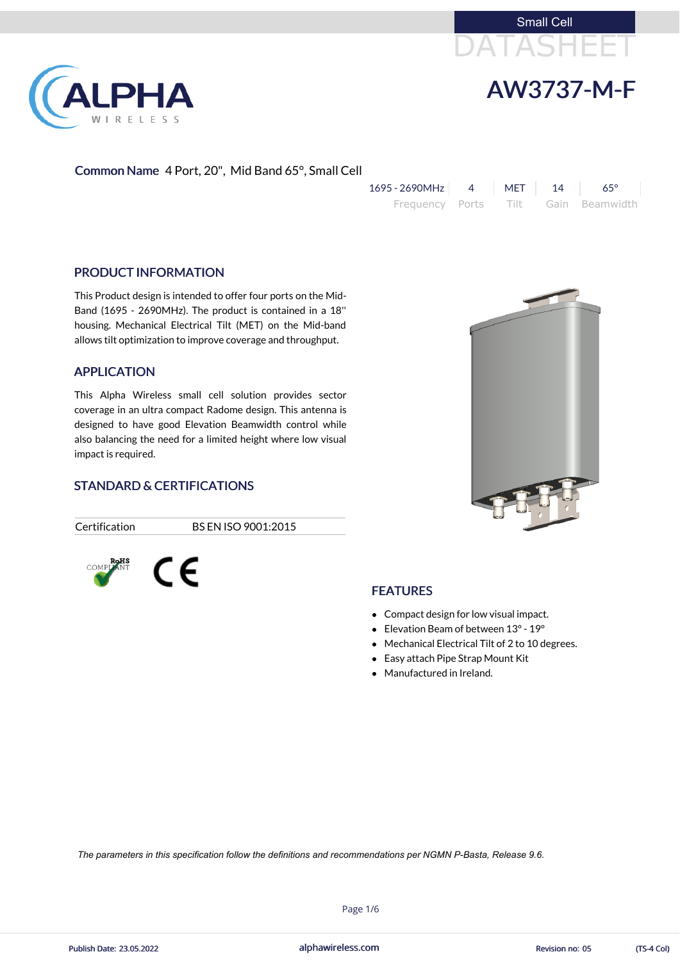



Common Name 4 Port, 20", Mid Band 65°, Small Cell

| $1695 - 2690 MHz$ 4 MET 14 65° |  |                                     |
|--------------------------------|--|-------------------------------------|
|                                |  | Frequency Ports Tilt Gain Beamwidth |

#### PRODUCT INFORMATION

This Product design is intended to offer four ports on the Mid-Band (1695 - 2690MHz). The product is contained in a 18'' housing. Mechanical Electrical Tilt (MET) on the Mid-band allows tilt optimization to improve coverage and throughput.

#### APPLICATION

This Alpha Wireless small cell solution provides sector coverage in an ultra compact Radome design. This antenna is designed to have good Elevation Beamwidth control while also balancing the need for a limited height where low visual impact is required.

### STANDARD & CERTIFICATIONS

Certification BS EN ISO 9001:2015



### **FEATURES**

- Compact design for low visual impact.
- Elevation Beam of between 13° 19°
- Mechanical Electrical Tilt of 2 to 10 degrees.
- Easy attach Pipe Strap Mount Kit
- Manufactured in Ireland.





alphawireless.com

Publish Date: 23.05.2022 **Revision no: 05** (TS-4 Col)

Page 1/6

*The parameters in this specification follow the definitions and recommendations per NGMN P-Basta, Release 9.6.*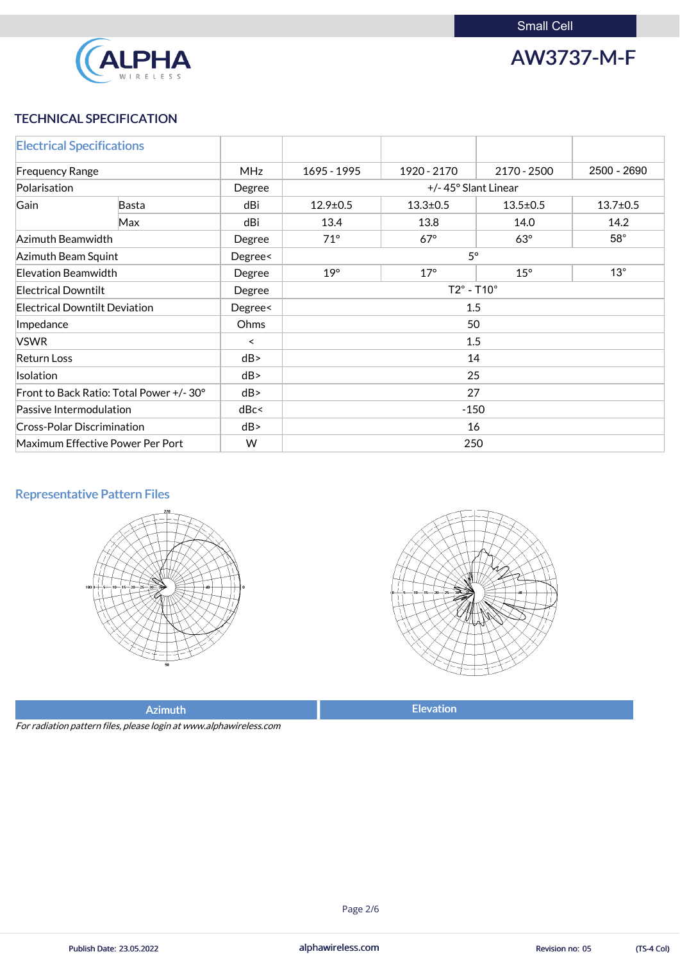

AW3737-M-F

## TECHNICAL SPECIFICATION

| <b>Electrical Specifications</b>     |                                         |            |                                                    |             |             |                |
|--------------------------------------|-----------------------------------------|------------|----------------------------------------------------|-------------|-------------|----------------|
| <b>Frequency Range</b>               |                                         | <b>MHz</b> | 1695 - 1995                                        | 1920 - 2170 | 2170 - 2500 | 2500 - 2690    |
| Polarisation                         |                                         | Degree     | +/-45° Slant Linear                                |             |             |                |
| Gain                                 | Basta                                   | dBi        | $12.9 \pm 0.5$<br>$13.3 \pm 0.5$<br>$13.5 \pm 0.5$ |             |             | $13.7 \pm 0.5$ |
|                                      | Max                                     | dBi        | 13.4                                               | 13.8        | 14.0        | 14.2           |
| Azimuth Beamwidth                    |                                         | Degree     | $71^\circ$                                         | $67^\circ$  | $63^\circ$  | $58^\circ$     |
| Azimuth Beam Squint                  |                                         | Degree<    | $5^\circ$                                          |             |             |                |
| Elevation Beamwidth                  |                                         | Degree     | $19^\circ$<br>$17^\circ$<br>$15^\circ$             |             |             | $13^\circ$     |
| <b>Electrical Downtilt</b>           |                                         | Degree     | $T2^\circ$ - T10 $^\circ$                          |             |             |                |
| <b>Electrical Downtilt Deviation</b> |                                         | Degree<    | 1.5                                                |             |             |                |
| Impedance                            |                                         | Ohms       | 50                                                 |             |             |                |
| <b>VSWR</b>                          |                                         | $\prec$    | 1.5                                                |             |             |                |
| <b>Return Loss</b>                   |                                         | dB         | 14                                                 |             |             |                |
| <b>Isolation</b>                     |                                         | dB         | 25                                                 |             |             |                |
|                                      | Front to Back Ratio: Total Power +/-30° | dB         | 27                                                 |             |             |                |
| Passive Intermodulation              |                                         | dBc<       | $-150$                                             |             |             |                |
| <b>Cross-Polar Discrimination</b>    |                                         | dB         | 16                                                 |             |             |                |
|                                      | Maximum Effective Power Per Port        | W          | 250                                                |             |             |                |

## Representative Pattern Files





Azimuth **Elevation** 

For radiation pattern files, please login at www.alphawireless.com

alphawireless.com

Page 2/6

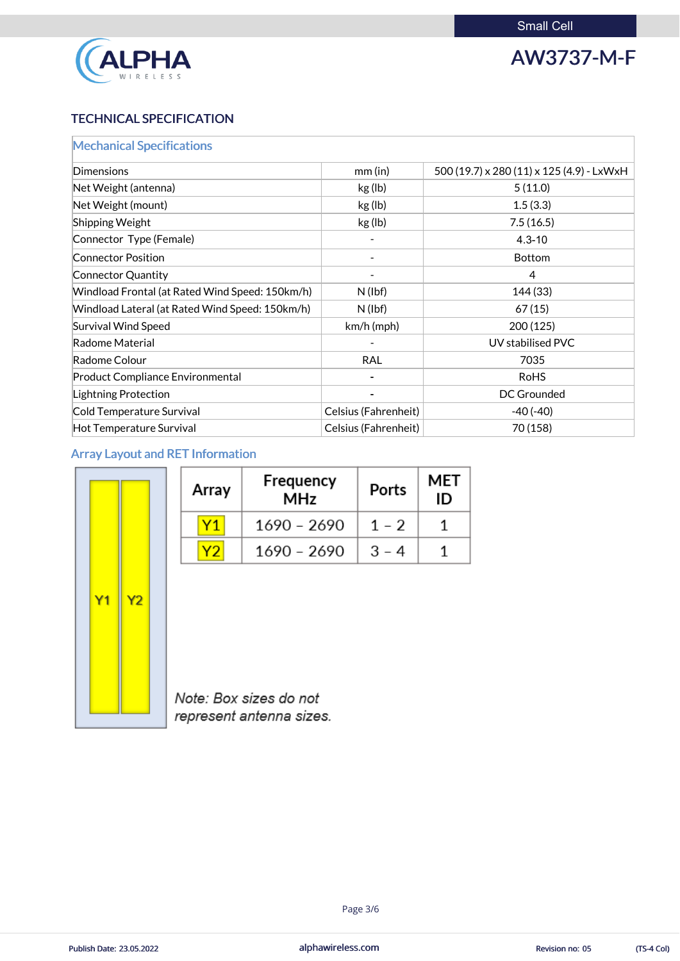

AW3737-M-F

## TECHNICAL SPECIFICATION

alphawireless.com Publish Date: 23.05.2022 **Revision no: 05** alphawireless.com **and algebra and algebra 23.05.2022** (TS-4 Col)

| <b>Mechanical Specifications</b>                |                             |                                           |
|-------------------------------------------------|-----------------------------|-------------------------------------------|
| <b>Dimensions</b>                               | $mm$ (in)                   | 500 (19.7) x 280 (11) x 125 (4.9) - LxWxH |
| Net Weight (antenna)                            | kg (lb)                     | 5(11.0)                                   |
| Net Weight (mount)                              | kg (lb)                     | 1.5(3.3)                                  |
| Shipping Weight                                 | kg (lb)                     | 7.5(16.5)                                 |
| Connector Type (Female)                         |                             | $4.3 - 10$                                |
| <b>Connector Position</b>                       | -                           | <b>Bottom</b>                             |
| Connector Quantity                              |                             | $\overline{4}$                            |
| Windload Frontal (at Rated Wind Speed: 150km/h) | $N$ (lbf)                   | 144 (33)                                  |
| Windload Lateral (at Rated Wind Speed: 150km/h) | $N$ (lbf)                   | 67(15)                                    |
| <b>Survival Wind Speed</b>                      | $km/h$ (mph)                | 200(125)                                  |
| Radome Material                                 |                             | UV stabilised PVC                         |
| Radome Colour                                   | <b>RAL</b>                  | 7035                                      |
| <b>Product Compliance Environmental</b>         |                             | <b>RoHS</b>                               |
| Lightning Protection                            |                             | DC Grounded                               |
| Cold Temperature Survival                       | <b>Celsius (Fahrenheit)</b> | $-40(-40)$                                |
| <b>Hot Temperature Survival</b>                 | Celsius (Fahrenheit)        | 70 (158)                                  |

## Array Layout and RET Information

| Υ1<br>Υ2 | 1690 - 2690 | $1 - 2$                | 1                        |
|----------|-------------|------------------------|--------------------------|
|          |             |                        |                          |
|          | 1690 - 2690 | $3 - 4$                | 1                        |
|          |             |                        |                          |
|          |             | Note: Box sizes do not | represent antenna sizes. |

Page 3/6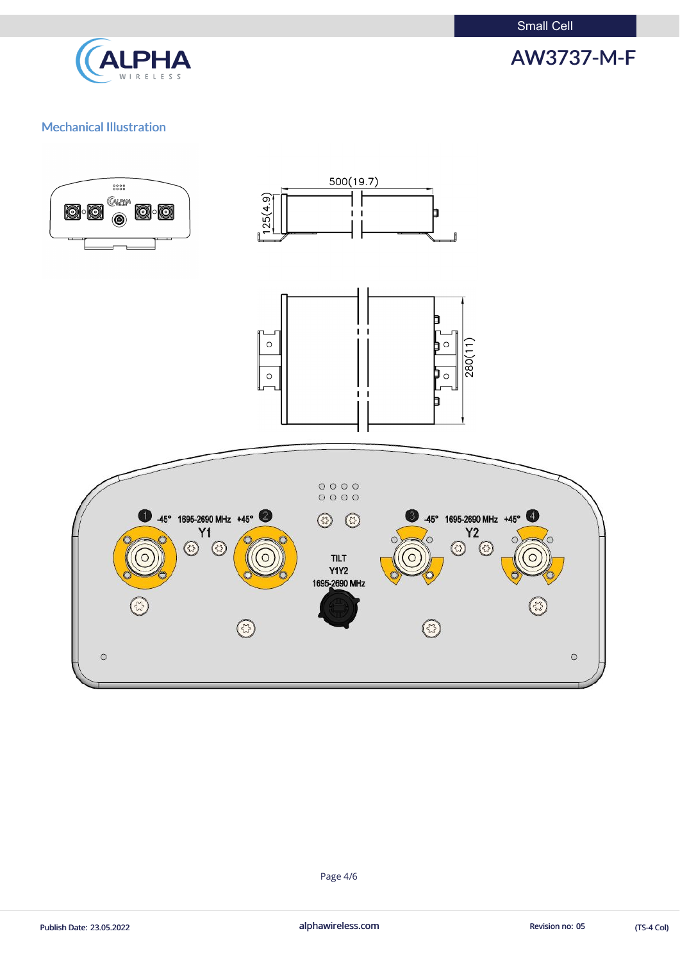Small Cell



AW3737-M-F

### Mechanical Illustration



Page 4/6

Publish Date: 23.05.2022 **alphawireless.com** alphawireless.com Revision no: 05 (TS-4 Col)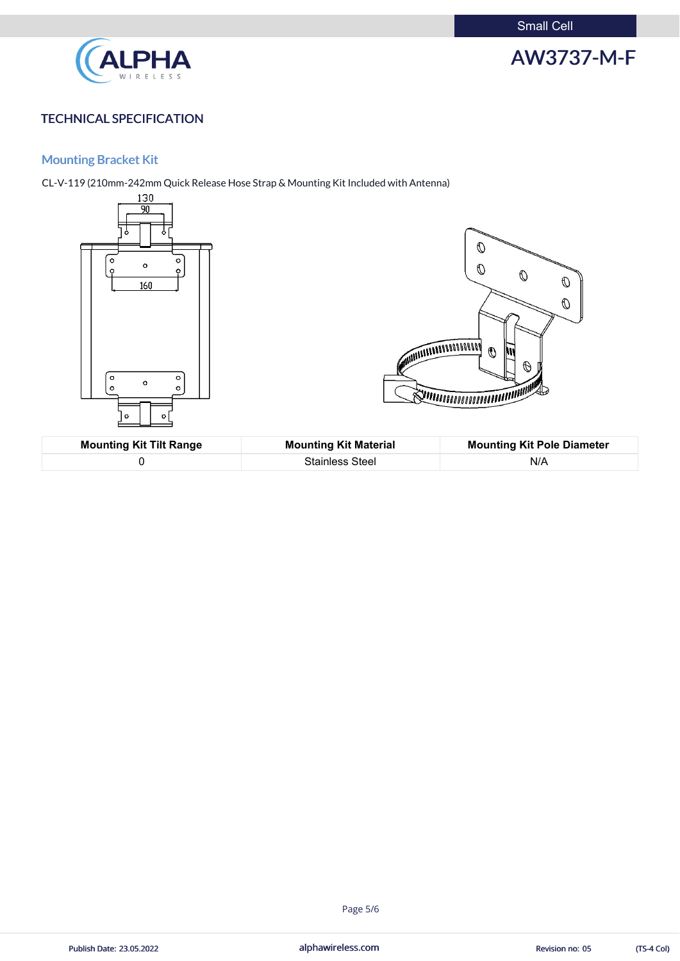Small Cell



# AW3737-M-F

## TECHNICAL SPECIFICATION

## Mounting Bracket Kit

CL-V-119 (210mm-242mm Quick Release Hose Strap & Mounting Kit Included with Antenna)



| <b>Mounting Kit Tilt Range</b> | <b>Mounting Kit Material</b> | <b>Mounting Kit Pole Diameter</b> |
|--------------------------------|------------------------------|-----------------------------------|
|                                | <b>Stainless Steel</b>       | N/A                               |

alphawireless.com

Publish Date: 23.05.2022 **Revision no: 05** alphawireless.com **Revision no: 05** (TS-4 Col)

#### Page 5/6